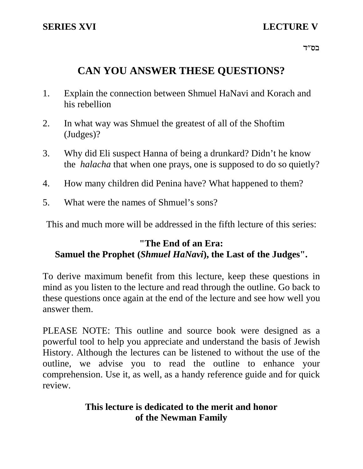## **SERIES XVI** LECTURE V

בס"ד $\,$ 

# **CAN YOU ANSWER THESE QUESTIONS?**

- 1. Explain the connection between Shmuel HaNavi and Korach and his rebellion
- 2. In what way was Shmuel the greatest of all of the Shoftim (Judges)?
- 3. Why did Eli suspect Hanna of being a drunkard? Didn't he know the *halacha* that when one prays, one is supposed to do so quietly?
- 4. How many children did Penina have? What happened to them?
- 5. What were the names of Shmuel's sons?

This and much more will be addressed in the fifth lecture of this series:

## **"The End of an Era: Samuel the Prophet (***Shmuel HaNavi***), the Last of the Judges".**

To derive maximum benefit from this lecture, keep these questions in mind as you listen to the lecture and read through the outline. Go back to these questions once again at the end of the lecture and see how well you answer them.

PLEASE NOTE: This outline and source book were designed as a powerful tool to help you appreciate and understand the basis of Jewish History. Although the lectures can be listened to without the use of the outline, we advise you to read the outline to enhance your comprehension. Use it, as well, as a handy reference guide and for quick review.

## **This lecture is dedicated to the merit and honor of the Newman Family**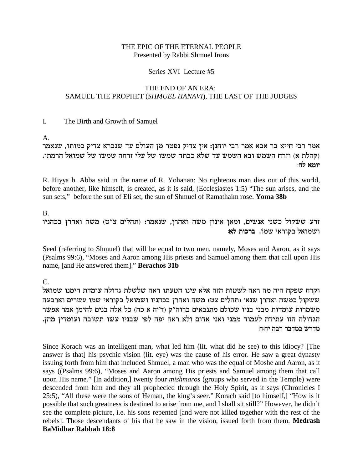### THE EPIC OF THE ETERNAL PEOPLE Presented by Rabbi Shmuel Irons

### Series XVI Lecture #5

### THE END OF AN ERA: SAMUEL THE PROPHET (SHMUEL HANAVI), THE LAST OF THE JUDGES

#### The Birth and Growth of Samuel  $\mathbf{I}$ .

A.

אמר רבי חייא בר אבא אמר רבי יוחנן: אין צדיק נפטר מן העולם עד שנברא צדיק כמותו, שנאמר (קהלת א) וזרח השמש ובא השמש עד שלא כבתה שמשו של עלי זרחה שמשו של שמואל הרמתי. יומא לח:

R. Hiyya b. Abba said in the name of R. Yohanan: No righteous man dies out of this world, before another, like himself, is created, as it is said, (Ecclesiastes 1:5) "The sun arises, and the sun sets," before the sun of Eli set, the sun of Shmuel of Ramathaim rose. Yoma 38b

 $\mathbf{B}$ 

זרע ששקול כשני אנשים, ומאן אינון משה ואהרן, שנאמר: (תהלים צ"ט) משה ואהרן בכהניו ושמואל בקוראי שמו. ברכות לא:

Seed (referring to Shmuel) that will be equal to two men, namely, Moses and Aaron, as it says (Psalms 99:6), "Moses and Aaron among His priests and Samuel among them that call upon His name, [and He answered them]." Berachos 31b

 $C_{\cdot}$ 

וקרח שפקח היה מה ראה לשטות הזה אלא עינו הטעתו ראה שלשלת גדולה עומדת הימנו שמואל ששקול כמשה ואהרן שנא׳ (תהלים צט) משה ואהרן בכהניו ושמואל בקוראי שמו עשרים וארבעה משמרות עומדות מבני בניו שכולם מתנבאים ברוה"ק (ד"ה א כה) כל אלה בנים להימן אמר אפשר הגדולה הזו עתידה לעמוד ממני ואני אדום ולא ראה יפה לפי שבניו עשו תשובה ועומדין מהן. מדרש במדבר רבה יחוח

Since Korach was an intelligent man, what led him (lit. what did he see) to this idiocy? [The answer is that] his psychic vision (lit. eye) was the cause of his error. He saw a great dynasty issuing forth from him that included Shmuel, a man who was the equal of Moshe and Aaron, as it says ((Psalms 99:6), "Moses and Aaron among His priests and Samuel among them that call upon His name." [In addition,] twenty four *mishmaros* (groups who served in the Temple) were descended from him and they all prophecied through the Holy Spirit, as it says (Chronicles I 25:5), "All these were the sons of Heman, the king's seer." Korach said [to himself,] "How is it possible that such greatness is destined to arise from me, and I shall sit still?" However, he didn't see the complete picture, i.e. his sons repented [and were not killed together with the rest of the rebels]. Those descendants of his that he saw in the vision, issued forth from them. Medrash **BaMidbar Rabbah 18:8**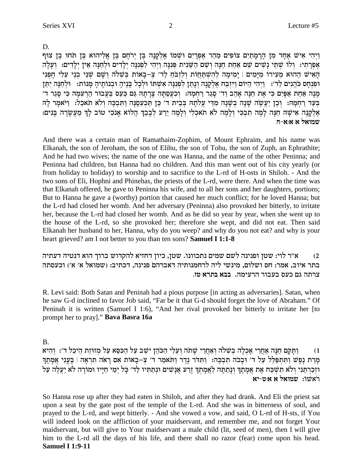וַיְהִי אִישׁ אָחָד מַן הַרַמַתַיִם צוֹפִים מֵהֵר אֶפְרַיִם וּשָׁמוֹ אֱלִקְנַה בֵּן יְרֹחֵם בֵּן אֱלִיהוּא בֵּן תּחוּ בֵן צוּף אֶפְרַתִי: וְלוֹ שִׁתֵּי נָשִׁים שֵׁם אַחַת חַנָּה וְשֵׁם הַשֵּׁנִית פִּנְנָּה וַיְהִי לְפִנְנָּה יִלַדִים וּלְחַנָּה אֵין יִלַדִים: וְעַלַה הָאִישׁ הַהוּא מֵעִירוֹ מִיַּמִים | יַמִימַה לְהִשִׁתַּחֲוֹת וְלִזְבֹּחַ לַד׳ צְ–בָאוֹת בִּשְׁלֹה וְשָׁם שְׁנֵי בְנֵי עֵלִי חָפְנִי ופִנְחָס כֹּהֲנִים לַד': וַיִּהִי הַיּוֹם וַיִּזְבַּח אֶלְקָנָה וְנָתַן לְפִנִנָּה אִשְׁתּוֹ וּלְכָל בָּנֶיהָ וּבְנוֹתֶיהָ מָנוֹת: וּלְחַנָּה יִתֵּן מְנָה אַחַת אַפְּיִם כִּי אֶת חַנְּה אָהֵב וַד׳ סְגַר רַחְמָה: וְכִעֲסַתְּה צְרָתָהּ גַּם כַּעַס בַּעֲבוּר הַרִעְמָהּ כִּי סָגַר ד׳ בִּעַד רַחְמָהּ: וְכֵן יַעֲשֶׂה שַׁנָה בְשָׁנָה מְדֵי עֲלֹתָהּ בְּבֵית ד׳ כֵּן תַּכְעָסֶנָּה וַתִּבְכֵּה וְלֹא תֹאכָל: וַיֹּאמֶר לַה אֵלְקָנָה אִישָׁה חַנָּה לָמֵה תִבְכִּי וְלָמֵה לֹא תֹאכִלִי וְלָמֵה יֵרַע לְבָבֵךְ הֲלוֹא אָנכִי טוֹב לָךְ מֵעֲשָׂרָה בָּנִים: שמואל א א:א-ח

And there was a certain man of Ramathaim-Zophim, of Mount Ephraim, and his name was Elkanah, the son of Jeroham, the son of Elihu, the son of Tohu, the son of Zuph, an Ephrathite; And he had two wives; the name of the one was Hanna, and the name of the other Peninna; and Peninna had children, but Hanna had no children. And this man went out of his city yearly (or from holiday to holiday) to worship and to sacrifice to the L-rd of H-osts in Shiloh. - And the two sons of Eli, Hophni and Phinehas, the priests of the L-rd, were there. And when the time was that Elkanah offered, he gave to Peninna his wife, and to all her sons and her daughters, portions; But to Hanna he gave a (worthy) portion that caused her much conflict; for he loved Hanna; but the L-rd had closed her womb. And her adversary (Peninna) also provoked her bitterly, to irritate her, because the L-rd had closed her womb. And as he did so year by year, when she went up to the house of the L-rd, so she provoked her; therefore she wept, and did not eat. Then said Elkanah her husband to her, Hanna, why do you weep? and why do you not eat? and why is your heart grieved? am I not better to you than ten sons? Samuel I 1:1-8

א״ר לוי: שטן ופנינה לשם שמים נתכוונו. שטן, כיון דחזיא להקדוש ברוך הוא דנטיה דעתיה  $(2)$ בתר איוב, אמר: חס ושלום, מינשי ליה לרחמנותיה דאברהם פנינה, דכתיב: (שמואל א׳ א׳) וכעסתה צרתה גם כעס בעבור הרעימה. בבא בתרא טז.

R. Levi said: Both Satan and Peninah had a pious purpose [in acting as adversaries]. Satan, when he saw G-d inclined to favor Job said, "Far be it that G-d should forget the love of Abraham." Of Peninah it is written (Samuel I 1:6), "And her rival provoked her bitterly to irritate her [to prompt her to pray]." Bava Basra 16a

**B.** 

וַתַּקַם חַנָּה אַחֲרֵי אַכְלָה בְשָׁלֹה וְאַחֲרֵי שָׁתֹה וְעֵלִי הַכֹּהֶן ישֵׁב עַל הַכְּסֵא עַל מְזוּזַת הֵיכָל ד׳: וְהִיא  $(1)$ מַרַת נַפֵּשׁ וַתְּתִפַּלֵּל עַל ד׳ וּבָכֹה תִבְכֶה: וַתְּדֹר נֶדֶר וַתֹּאמַר ד׳ צְ–בָאוֹת אִם רָאֹה תִרְאֶה | בָּעֲנִי אֲמָתֶךְ וּזְכַרְתַּנִי וְלֹא תִשְׁכָּח אֶת אֲמָתְךְ וְנַתַתָּה לַאֲמַתְךְ זֵרְע אֲנָשִׁים וּנְתַתִּיו לַד׳ כָּל יִמֵי חַיַּיו וּמוֹרָה לֹא יַעֲלֶה עָל ראשו: שמואל א איט-יא

So Hanna rose up after they had eaten in Shiloh, and after they had drank. And Eli the priest sat upon a seat by the gate post of the temple of the L-rd. And she was in bitterness of soul, and prayed to the L-rd, and wept bitterly. - And she vowed a vow, and said, O L-rd of H-sts, if You will indeed look on the affliction of your maidservant, and remember me, and not forget Your maidservant, but will give to Your maidservant a male child (lit, seed of men), then I will give him to the L-rd all the days of his life, and there shall no razor (fear) come upon his head. **Samuel I 1:9-11**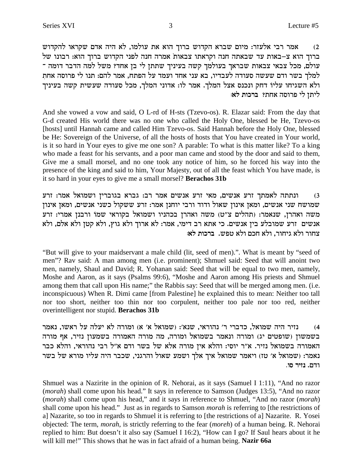אמר רבי אלעזר: מיום שברא הקדוש ברוך הוא את עולמו, לא היה אדם שקראו להקדוש  $(2)$ ברוך הוא צ–באות עד שבאתה חנה וקראתו צבאות אמרה חנה לפני הקדוש ברוך הוא: רבונו של עולם, מכל צבאי צבאות שבראך בעולמך קשה בעיניך שתתן לי בן אחד? משל למה הדבר דומה ־ למלך בשר ודם שעשה סעודה לעבדיו, בא עני אחד ועמד על הפתח, אמר להם: תנו לי פרוסה אחת ולא השגיחו עליו דחק ונכנס אצל המלך. אמר לו: אדוני המלך, מכל סעודה שעשית קשה בעיניך ליתן לי פרוסה אחת? ברכות לא:

And she vowed a vow and said, O L-rd of H-sts (Tzevo-os). R. Elazar said: From the day that G-d created His world there was no one who called the Holy One, blessed be He, Tzevo-os [hosts] until Hannah came and called Him Tzevo-os. Said Hannah before the Holy One, blessed be He: Sovereign of the Universe, of all the hosts of hosts that You have created in Your world, is it so hard in Your eyes to give me one son? A parable: To what is this matter like? To a king who made a feast for his servants, and a poor man came and stood by the door and said to them, Give me a small morsel, and no one took any notice of him, so he forced his way into the presence of the king and said to him, Your Majesty, out of all the feast which You have made, is it so hard in your eyes to give me a small morsel? Berachos 31b

ונתתה לאמתך זרע אנשים, מאי זרע אנשים אמר רב: גברא בגוברין ושמואל אמר: זרע  $(3)$ שמושח שני אנשים, ומאן אינון שאול ודוד ורבי יוחנן אמר: זרע ששקול כשני אנשים, ומאן אינון משה ואהרן, שנאמר: (תהלים צ"ט) משה ואהרן בכהניו ושמואל בקוראי שמו ורבנן אמרי: זרע אנשים זרע שמובלע בין אנשים. כי אתא רב דימי, אמר: לא ארוך ולא גוץ, ולא קטן ולא אלם, ולא צחור ולא גיחור. ולא חכם ולא טפש. ברכות לא:

"But will give to your maidservant a male child (lit, seed of men).". What is meant by "seed of men"? Rav said: A man among men (i.e. prominent); Shmuel said: Seed that will anoint two men, namely, Shaul and David; R. Yohanan said: Seed that will be equal to two men, namely, Moshe and Aaron, as it says (Psalms 99:6), "Moshe and Aaron among His priests and Shmuel among them that call upon His name;" the Rabbis say: Seed that will be merged among men. (i.e. inconspicuous) When R. Dimi came [from Palestine] he explained this to mean: Neither too tall nor too short, neither too thin nor too corpulent, neither too pale nor too red, neither overintelligent nor stupid. Berachos 31b

נזיר היה שמואל, כדברי ר' נהוראי, שנא': (שמואל א' א) ומורה לא יעלה על ראשו, נאמר  $(4)$ בשמשון (שופטים יג) ומורה ונאמר בשמואל ומורה, מה מורה האמורה בשמעון נזיר, אף מורה האמורה בשמואל נזיר. א״ר יוסי: והלא אין מורה אלא של בשר ודם א״ל רבי נהוראי, והלא כבר נאמר: (שמואל א' טז) ויאמר שמואל איך אלך ושמע שאול והרגני, שכבר היה עליו מורא של בשר ודם. נזיר סו.

Shmuel was a Nazirite in the opinion of R. Nehorai, as it says (Samuel I 1:11), "And no razor (*morah*) shall come upon his head." It says in reference to Samson (Judges 13:5), "And no razor (*morah*) shall come upon his head," and it says in reference to Shmuel, "And no razor (*morah*) shall come upon his head." Just as in regards to Samson *morah* is referring to [the restrictions of a] Nazarite, so too in regards to Shmuel it is referring to [the restrictions of a] Nazarite. R. Yosei objected: The term, *morah*, is strictly referring to the fear *(moreh)* of a human being. R. Nehorai replied to him: But doesn't it also say (Samuel I 16:2), "How can I go? If Saul hears about it he will kill me!" This shows that he was in fact afraid of a human being. Nazir 66a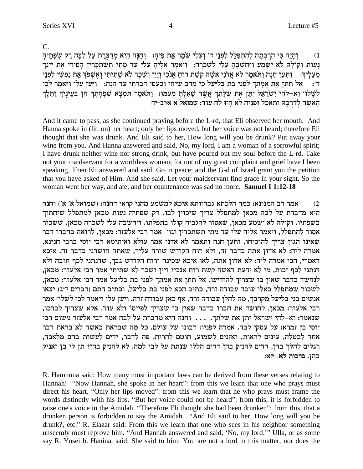$C_{\cdot}$ 

והיה כִּי הַרִּבְּתָה לְהַתְפַּלֵּל לְפָנֵי ד׳ וְעֲלִי שֹׁמֶר אֶת פִּיהָ: - וְחַנָּה הִיא מְדַבֵּרֶת עַל לְבַּהּ רָק שִׂפְתֵיהַ  $(1)$ נַעוֹת וְקוֹלָה לֹא יִשָּׁמֵעַ וַיַּחִשְׁבֵהָ עֵלִי לְשִׁכֹּרָה: וַיֹּאמֶר אֲלֵיהָ עֵלִי עַד מַתַי תִּשְׁתַּכָּרִין הַסִירִי אֶת יֵינֵך מֵעָלַיִךְ: נַתַּעַן חַנָּה וַתֹּאמֶר לֹא אֲדֹנִי אִשָּׁה קִשַּׁת רוּחַ אַנֹכִי וְיַיִן וְשֵׁכָר לֹא שַׁתִיתִי וַאֲשִׁפֹּךְ אֶת נַפִּשִׁי לִפְנֵי ....<br>ד׳: אל תּתֵן אֶת אַמָתִךְ לִפְנֵי בַת בִּלְיָעַל כִּי מֵרֹב שִיחִי וְכַעְסִי דְּבַּרְתִי עַד הֵנָּה: וַיַּעַן עֵלִי וַיֹּאמֶר לְכִי לְשָׁלוֹ׳ וֵא-לֹהֵי יִשְׂרָאֵל יִתֵּן אֵת שֵׁלָתֵךְ אֲשֶׁר שָׁאֲלִתְּ מֵעְמֹו: וַתֹּאמֵר תִּמְצָא שִׁפְחָתְךָ חֵן בִּעֵינֵיךְ וַתֵּלֵךְ הַאֲשָׁה לְדַרְכָּהּ וַתֹּאכָל וּפַנֵיהַ לֹא הַיוּ לַהְ עוֹד: שמואל א איב-יח

And it came to pass, as she continued praying before the L-rd, that Eli observed her mouth. And Hanna spoke in (lit. on) her heart; only her lips moved, but her voice was not heard; therefore Eli thought that she was drunk. And Eli said to her, How long will you be drunk? Put away your wine from you. And Hanna answered and said, No, my lord, I am a woman of a sorrowful spirit; I have drunk neither wine nor strong drink, but have poured out my soul before the L-rd. Take not your maidservant for a worthless woman; for out of my great complaint and grief have I been speaking. Then Eli answered and said, Go in peace; and the G-d of Israel grant you the petition that you have asked of Him. And she said, Let your maidservant find grace in your sight. So the woman went her way, and ate, and her countenance was sad no more. **Samuel I 1:12-18** 

אמר רב המנונא: כמה הלכתא גברוותא איכא למשמע מהני קראי דחנה: (שמואל א׳ א׳) וחנה  $(2)$ היא מדברת על לבה מכאן למתפלל צריך שיכוין לבו. רק שפתיה נעות מכאן למתפלל שיחתוך בשפתיו. וקולה לא ישמע מכאן, שאסור להגביה קולו בתפלתו. ויחשבה עלי לשכרה מכאן, ששכור אסור להתפלל, ויאמר אליה עלי עד מתי תשתכרין וגו׳ אמר רבי אלעזר: מכאן, לרואה בחברו דבר שאינו הגוז צריך להוכיחו, ותעז חנה ותאמר לא אדני אמר עולא ואיתימא רבי יוסי ברבי חנינא, אמרה ליה: לא אדון אתה בדבר זה, ולא רוח הקודש שורה עליך, שאתה חושדני בדבר זה. איכא דאמרי, הכי אמרה ליה: לא אדוז אתה, לאו איכא שכינה ורוח הקודש גבד, שדנתני לכף חובה ולא דנתני לכף זכות, מי לא ידעת דאשה קשת רוח אנכי? ויין ושכר לא שתיתי אמר רבי אלעזר: מכאן, לנחשד בדבר שאין בו שצריך להודיעו. אל תתן את אמתך לפני בת בליעל אמר רבי אלעזר: מכאן, לשכור שמתפלל כאלו עובד עבודה זרה, כתיב הכא לפני בת בליעל, וכתיב התם (דברים י"ג) יצאו אנשים בני בליעל מקרבך, מה להלן עבודה זרה, אף כאן עבודה זרה. ויען עלי ויאמר לכי לשלו׳ אמר רבי אלעזר: מכאן, לחושד את חברו בדבר שאין בו שצריך לפייסו ולא עוד, אלא שצריך לברכו, שנאמר: וא–להי ישראל יתן את שלתך. . . . וחנה היא מדברת על לבה אמר רבי אלעזר משום רבי יוסי בן זמרא: על עסקי לבה. אמרה לפניו: רבונו של עולם, כל מה שבראת באשה לא בראת דבר אחד לבטלה, עינים לראות, ואזנים לשמוע, חוטם להריח, פה לדבר, ידים לעשות בהם מלאכה, רגלים להלך בהז, דדים להניק בהז דדים הללו שנתת על לבי למה, לא להניק בהז? תז לי בז ואניק בהן. ברכות לא.-לא:

R. Hamnuna said: How many most important laws can be derived from these verses relating to Hannah! "Now Hannah, she spoke in her heart": from this we learn that one who prays must direct his heart. "Only her lips moved": from this we learn that he who prays must frame the words distinctly with his lips. "But her voice could not be heard": from this, it is forbidden to raise one's voice in the Amidah. "Therefore Eli thought she had been drunken": from this, that a drunken person is forbidden to say the Amidah. "And Eli said to her, How long will you be drunk?, etc." R. Elazar said: From this we learn that one who sees in his neighbor something unseemly must reprove him. "And Hannah answered and said, 'No, my lord." Ulla, or as some say R. Yosei b. Hanina, said: She said to him: You are not a lord in this matter, nor does the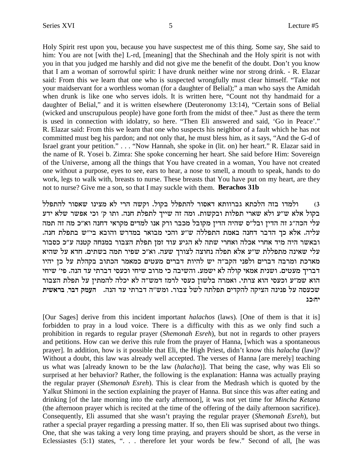Holy Spirit rest upon you, because you have suspectest me of this thing. Some say, She said to him: You are not [with the] L-rd, [meaning] that the Shechinah and the Holy spirit is not with you in that you judged me harshly and did not give me the benefit of the doubt. Don't you know that I am a woman of sorrowful spirit: I have drunk neither wine nor strong drink. - R. Elazar said: From this we learn that one who is suspected wrongfully must clear himself. "Take not your maidservant for a worthless woman (for a daughter of Belial);" a man who says the Amidah when drunk is like one who serves idols. It is written here, "Count not thy handmaid for a daughter of Belial," and it is written elsewhere (Deuteronomy 13:14), "Certain sons of Belial (wicked and unscrupulous people) have gone forth from the midst of thee." Just as there the term is used in connection with idolatry, so here. "Then Eli answered and said, 'Go in Peace'." R. Elazar said: From this we learn that one who suspects his neighbor of a fault which he has not committed must beg his pardon; and not only that, he must bless him, as it says, "And the G-d of Israel grant your petition." . . . "Now Hannah, she spoke in (lit. on) her heart." R. Elazar said in the name of R. Yosei b. Zimra: She spoke concerning her heart. She said before Him: Sovereign of the Universe, among all the things that You have created in a woman, You have not created one without a purpose, eyes to see, ears to hear, a nose to smell, a mouth to speak, hands to do work, legs to walk with, breasts to nurse. These breasts that You have put on my heart, are they not to nurse? Give me a son, so that I may suckle with them. **Berachos 31b**

1) ולמדו בזה הלכתא גברוותא דאסור להתפלל בקול. וקשה הרי לא מצינו שאסור להתפלל בקול אלא ש״ע ולא שארי תפלות ובקשות. ומה זה שייך לתפלת חנה. ותו ק׳ וכי אפשר שלא ידע עלי הכה״ג זה הדין ובל״ס שהיה הדין מקובל מכבר ורק אנו למדים מקראי דחנה וא״כ מה זה תמה .<br>עליה. אלא כך הדבר דחנה באמת התפללה ש״ע והכי מבואר במדרש והובא בי״ש בתפלת חנה ובאשר היה מיד אחרי אכלה ואחרי שתה לא הגיע עוד זמן תפלת הצבור במנחה קטנה ע"כ כסבור עלי שאינה מתפללת ש"ע אלא תפלה נחוצה לצורך שעה. וא"כ שפיר תמה בשתים. חדא על שהיא מארכת ומרבה דברים ולפני הקב"ה יש להיות דברים מעטים כמאמר הכתוב בקהלת על כן יהיו דבריך מעטים. ושנית אמאי קולה לא ישמע. והשיבה כי מרוב שיחי וכעסי דברתי עד הנה. פי׳ שיחי הוא שמ״ע וכעסי הוא צרתי. ואמרה בלשון כעסי לרמז דמש״ה לא יכלה להמתין על תפלת הצבור שכעסה על פנינה הציקה להקדים תפלתה לשל צבור. ומש"ה דברתי עד הנה. העמק דבר, בראשית **bk:gi**

[Our Sages] derive from this incident important *halachos* (laws). [One of them is that it is] forbidden to pray in a loud voice. There is a difficulty with this as we only find such a prohibition in regards to regular prayer (*Shemonah Esreh*), but not in regards to other prayers and petitions. How can we derive this rule from the prayer of Hanna, [which was a spontaneous prayer]. In addition, how is it possible that Eli, the High Priest, didn't know this *halacha* (law)? Without a doubt, this law was already well accepted. The verses of Hanna [are merely] teaching us what was [already known to be the law (*halacha*)]. That being the case, why was Eli so surprised at her behavior? Rather, the following is the explanation: Hanna was actually praying the regular prayer (*Shemonah Esreh*). This is clear from the Medrash which is quoted by the Yalkut Shimoni in the section explaining the prayer of Hanna. But since this was after eating and drinking [of the late morning into the early afternoon], it was not yet time for *Mincha Ketana* (the afternoon prayer which is recited at the time of the offering of the daily afternoon sacrifice). Consequently, Eli assumed that she wasn't praying the regular prayer (*Shemonah Esreh*), but rather a special prayer regarding a pressing matter. If so, then Eli was suprised about two things. One, that she was taking a very long time praying, and prayers should be short, as the verse in Eclessiastes (5:1) states, ". . . therefore let your words be few." Second of all, [he was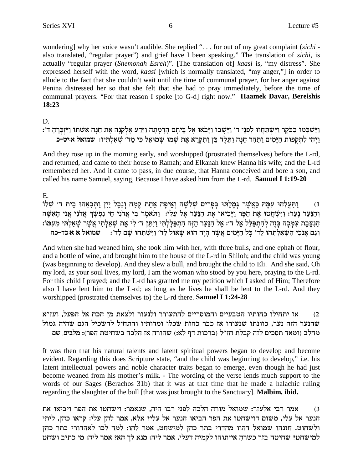wondering] why her voice wasn't audible. She replied "... for out of my great complaint (sichi also translated, "regular prayer") and grief have I been speaking." The translation of sichi, is actually "regular prayer (Shemonah Esreh)". [The translation of] kaasi is, "my distress". She expressed herself with the word, kaasi [which is normally translated, "my anger,"] in order to allude to the fact that she couldn't wait until the time of communal prayer, for her anger against Penina distressed her so that she felt that she had to pray immediately, before the time of communal prayers. "For that reason I spoke [to G-d] right now." Haamek Davar, Bereishis 18:23

D.

וַיַּשְׁכִּמוּ בַבֹּקֶר וַיִּשְׁתַּחֲווּ לִפְנֵי ד' וַיָּשֻׁבוּ וַיָּבֹאוּ אֶל בֵּיתָם הָרָמָתָה וַיֵּדַע אֶלְקָנָה אֶת חַנָּה אִשְׁתּוֹ וַיִּזְכְּרֶהָ ד': וַיְהִי לְתִקְפוֹת הַיָּמִים וַתַּהַר חַנָּה וַתֵּלֵד בֵּן וַתִּקְרָא אֶת שִׁמֹוֹ שָׁמוּאֵל כִּי מֵד׳ שָׁאָלְתִּיוּ: שמואל איט-כ

And they rose up in the morning early, and worshipped (prostrated themselves) before the L-rd, and returned, and came to their house to Ramah; and Elkanah knew Hanna his wife; and the L-rd remembered her. And it came to pass, in due course, that Hanna conceived and bore a son, and called his name Samuel, saying, Because I have asked him from the L-rd. Samuel I 1:19-20

 $E_{\rm{L}}$ 

וַתַּעֲלֶהוּ עִמַּהּ כַּאֲשֶׁר גִּמַלַתּוּ בִּפַּרים שָׁלֹשָׁה וָאֵיפַה אַחַת קַמַח וְנֵבֵל יַיִן וַתְּבְאֶהוּ בֵית ד׳ שָׁלוֹ  $(1)$ והנער נער: וישחטו את הפר ויביאו את הנער אל עלי: ותאמר בי אדני חי נפשך אדני אני האשה הַנַּצְּבַת עִמְּכָה בַּזָה להַתְפַּלֵּל אֵל ד׳: אֵל הַנַּעַר הַזָּה הַתִפַּלָלְתִּי וַיִּתֵּן ד׳ לִי אֵת שַׁאֲלְתִי אֲשֶׁר שַׁאֲלִתִּי מֵעָמֹו: וגם אנכי השאלתהו לד׳ כל הימים אשר היה הוא שאול לד׳ וישתחו שם לד׳: ■ שמואל א א:כד-כח

And when she had weaned him, she took him with her, with three bulls, and one ephah of flour, and a bottle of wine, and brought him to the house of the L-rd in Shiloh; and the child was young (was beginning to develop). And they slew a bull, and brought the child to Eli. And she said, Oh my lord, as your soul lives, my lord, I am the woman who stood by you here, praying to the L-rd. For this child I prayed; and the L-rd has granted me my petition which I asked of Him; Therefore also I have lent him to the L-rd; as long as he lives he shall be lent to the L-rd. And they worshipped (prostrated themselves to) the L-rd there. Samuel I 1:24-28

אז יתחילו כחותיו הטבעיים והמוסריים להתעורר ולנעור ולצאת מז הכח אל הפעל, ועז״א  $(2)$ שהנער הזה נער. כוונתו שנעורו אז כבר כחות שכלו ומדותיו והתחיל להשכיל הגם שהיה גמול מחלב (ומאד תסכים לזה קבלת חז״ל (ברכות דף לא:) שהורה אז הלכה בשחיטת הפר): מלבים, שם

It was then that his natural talents and latent spiritual powers began to develop and become evident. Regarding this does Scripture state, "and the child was beginning to develop," i.e. his latent intellectual powers and noble character traits began to emerge, even though he had just become weaned from his mother's milk. - The wording of the verse lends much support to the words of our Sages (Berachos 31b) that it was at that time that he made a halachic ruling regarding the slaughter of the bull [that was just brought to the Sanctuary]. **Malbim, ibid.** 

אמר רבי אלעזר: שמואל מורה הלכה לפני רבו היה, שנאמר: וישחטו את הפר ויביאו את  $(3)$ הנער אל עלי, משום דוישחטו את הפר הביאו הנער אל עלי? אלא, אמר להן עלי: קראו כהן, ליתי ולשחוט. חזנהו שמואל דהוו מהדרי בתר כהן למישחט, אמר להו: למה לכו לאהדורי בתר כהן למישחט? שחיטה בזר כשרה אייתוהו לקמיה דעלי, אמר ליה: מנא לך הא? אמר ליה: מי כתיב ושחט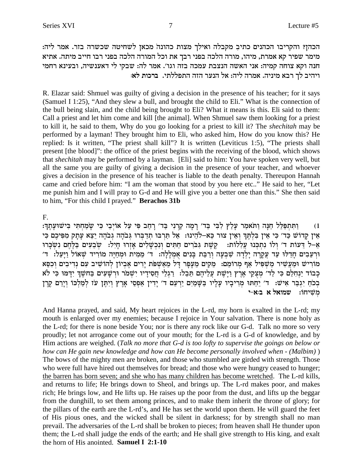הכהן? והקריבו הכהנים כתיב מקבלה ואילך מצות כהונה מכאן לשחיטה שכשרה בזר. אמר ליה: מימר שפיר קא אמרת, מיהו, מורה הלכה בפני רבך את וכל המורה הלכה בפני רבו חייב מיתה. אתיא חנה וקא צוחה קמיה: אני האשה הנצבת עמכה בזה וגו'. אמר לה: שבקי לי דאענשיה, ובעינא רחמי **ויהיב לך רבא מיניה. אמרה ליה: אל הנער הזה התפללתי. ברכות לא:** 

R. Elazar said: Shmuel was guilty of giving a decision in the presence of his teacher; for it says (Samuel I 1:25), "And they slew a bull, and brought the child to Eli." What is the connection of the bull being slain, and the child being brought to Eli? What it means is this. Eli said to them: Call a priest and let him come and kill [the animal]. When Shmuel saw them looking for a priest to kill it, he said to them, Why do you go looking for a priest to kill it? The *shechitah* may be performed by a layman! They brought him to Eli, who asked him, How do you know this? He replied: Is it written, "The priest shall kill"? It is written (Leviticus 1:5), "The priests shall present [the blood]": the office of the priest begins with the receiving of the blood, which shows that *shechitah* may be performed by a layman. [Eli] said to him: You have spoken very well, but all the same you are guilty of giving a decision in the presence of your teacher, and whoever gives a decision in the presence of his teacher is liable to the death penalty. Thereupon Hannah came and cried before him: "I am the woman that stood by you here etc.." He said to her, "Let me punish him and I will pray to G-d and He will give you a better one than this." She then said to him, "For this child I prayed." **Berachos 31b**

F.

:ן וְתִּתְפַּלֵּל חֲנָה וַתֹּאמֵר עַלַץ לִבִּי בִּד׳ וַמַה קַרְנִי בַּד׳ וַחַב פִּי עַל אוֹיָבֵי כִּי שַׂמַחִתִּי בִּישׁוּעַתֵּך אין קדוש כֵּד׳ כִּי אִין בִּלְתֵּךְ וְאִין צוּר כֵּא-לֹהִינוּ: אֵל תַּרבּוּ תַדַּבְרוּ גִּבֹהָה יִצָּא עַתַק מִפִּיכֶם כִּי ExM®oyß p¶ mg§ N§ A© mir¶ a• oyß :li¶g® Exfß `® mil¶ W® kß p¶eß miY¶ g© mix¶oAB¶ zW§ w§ :zFll¶ r£ EpMß zß p¶ Fleß 'c zFrC• l-`• 'וּרְעֲבִים חַדְלוּ עַד עֲקַרָה יַלְדָה שִׁבְעָה וְרַבֵּת בַּנִים אָמְלַלְה: ד׳ מֵמִית וּמִחִיָּה מוֹרִיד שִׁאוֹל וַיַּעֲל: ד׳ מוריש ומעשיר משפיל אף מרומם: מקים מעפר דל מאשפת ירים אביון להושיב עם נדיבים וכסא כְּבוֹד יַנְחָלֵם כִּי לַד' מְצָקֵי אֶרֶץ וַיָּשֶׁת עֲלֵיהֶם תֵּבֵל: וַיִגְלֵי חֲסִידָיו יִשְׁמֹר וּרְשָׁעִים בַּחשֶׁךְ יִדָּמוּ כִּי לֹא בְּכֹתַ יִגְבַּר אִישׁ: ד׳ יֵחַתּוּ מְרִיבְיו עָלָיו בַּשֶּׁמַיִם יַרְעֵם ד׳ יְדִין אַפְסִי אָרֶץ וְיִתֶּן עֹז לְמַלְכּוֹ וְיָרֵם קֶרֶן *a`iz* משיחו: שמואל א ב

And Hanna prayed, and said, My heart rejoices in the L-rd, my horn is exalted in the L-rd; my mouth is enlarged over my enemies; because I rejoice in Your salvation. There is none holy as the L-rd; for there is none beside You; nor is there any rock like our G-d. Talk no more so very proudly; let not arrogance come out of your mouth; for the L-rd is a G-d of knowledge, and by Him actions are weighed. (*Talk no more that G-d is too lofty to supervise the goings on below or how can He gain new knowledge and how can He become personally involved when - (Malbim)* ) The bows of the mighty men are broken, and those who stumbled are girded with strength. Those who were full have hired out themselves for bread; and those who were hungry ceased to hunger; the barren has born seven; and she who has many children has become wretched. The L-rd kills, and returns to life; He brings down to Sheol, and brings up. The L-rd makes poor, and makes rich; He brings low, and He lifts up. He raises up the poor from the dust, and lifts up the beggar from the dunghill, to set them among princes, and to make them inherit the throne of glory; for the pillars of the earth are the L-rd's, and He has set the world upon them. He will guard the feet of His pious ones, and the wicked shall be silent in darkness; for by strength shall no man prevail. The adversaries of the L-rd shall be broken to pieces; from heaven shall He thunder upon them; the L-rd shall judge the ends of the earth; and He shall give strength to His king, and exalt the horn of His anointed. **Samuel I 2:1-10**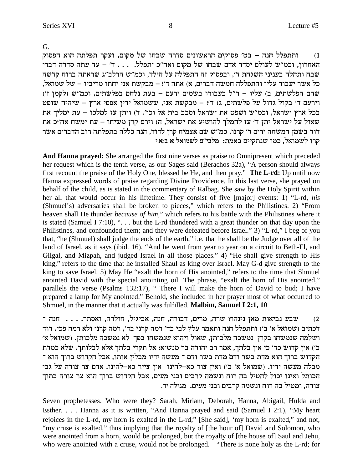ותתפלל חנה – בט' פסוקים הראשונים סדרה שבחו של מקום, ועקר תפלתה הוא הפסוק  $(1)$ האחרון, וכמ"ש לעולם יסדר אדם שבחו של מקום ואח"כ יתפלל. ... ד' – עד עתה סדרה דברי שבח ותהלה בעניני השגחת ד׳, ובפסוק זה התפללה על הילד, וכמ״ש הרלב״ג שראתה ברוח קדשה .<br>כל אשר יעבור עליו והתפללה חמשה דברים, א) אתה ד'! – מבקשת אני יחתו מריביו – של שמואל, שהם הפלשתים, ב) עליו - ר"ל בעבורו בשמים ירעם - בעת נלחם בפלשתים, וכמ"ש (לקמן ז') וירעם ד' בקול גדול על פלשתים, ג) ד'! – מבקשת אני, ששמואל ידין אפסי ארץ – שיהיה שופט בכל ארץ ישראל, וכמ״ש ושפט את ישראל וסבב בית אל וכו׳. ד) ויתן עז למלכו – עת ימליך את שאול על ישראל יתן ד׳ עז להמלך להושיע את ישראל, ה) וירם קרן משיחו – עת ימשח אח״כ את דוד בשמן המשחה ירים ד' קרנו, כמ"ש שם אצמיח קרן לדוד, הנה כללה בתפלתה רוב הדברים אשר קרו לשמואל, כמו שנתקיים באמת: מלבי״ם לשמואל א ב:א,י

And Hanna prayed: She arranged the first nine verses as praise to Omnipresent which preceded her request which is the tenth verse, as our Sages said (Berachos 32a), "A person should always first recount the praise of the Holy One, blessed be He, and then pray." The L-rd: Up until now Hanna expressed words of praise regarding Divine Providence. In this last verse, she prayed on behalf of the child, as is stated in the commentary of Ralbag. She saw by the Holy Spirit within her all that would occur in his liftetime. They consist of five [major] events: 1) "L-rd, his (Shmuel's) adversaries shall be broken to pieces," which refers to the Philistines. 2) "From heaven shall He thunder *because of him*," which refers to his battle with the Philistines where it is stated (Samuel I 7:10), " $\dots$  but the L-rd thundered with a great thunder on that day upon the Philistines, and confounded them; and they were defeated before Israel." 3) "L-rd," I beg of you that, "he (Shmuel) shall judge the ends of the earth," i.e. that he shall be the Judge over all of the land of Israel, as it says (ibid. 16), "And he went from year to year on a circuit to Beth-El, and Gilgal, and Mizpah, and judged Israel in all those places." 4) "He shall give strength to His king," refers to the time that he installed Shaul as king over Israel. May G-d give strength to the king to save Israel. 5) May He "exalt the horn of His anointed," refers to the time that Shmuel anointed David with the special anointing oil. The phrase, "exalt the horn of His anointed," parallels the verse (Psalms 132:17), "There I will make the horn of David to bud; I have prepared a lamp for My anointed." Behold, she included in her prayer most of what occurred to Shmuel, in the manner that it actually was fulfilled. Malbim, Samuel I 2:1, 10

שבע נביאות מאן נינהו? שרה, מרים, דבורה, חנה, אביגיל, חולדה, ואסתר. . . . . חנה ־  $(2)$ דכתיב (שמואל א׳ ב׳) ותתפלל חנה ותאמר עלץ לבי בד׳ רמה קרני בד׳, רמה קרני ולא רמה פכי. דוד ושלמה שנמשחו בקרן נמשכה מלכותן, שאול ויהוא שנמשחו בפך לא נמשכה מלכותן. (שמואל א' ב׳) אין קדוש כד׳ כי אין בלתך, אמר רב יהודה בר מנשיא: אל תקרי בלתך אלא לבלותך. שלא כמדת הקדוש ברוך הוא מדת בשר ודם מדת בשר ודם ־ מעשה ידיו מבלין אותו, אבל הקדוש ברוך הוא ־ מבלה מעשה ידיו. (שמואל א' ב') ואין צור כא-להינו אין צייר כא-להינו. אדם צר צורה על גבי .<br>הכותל ואינו יכול להטיל בה רוח ונשמה קרבים ובני מעים, אבל הקדוש ברוך הוא צר צורה בתוך צורה, ומטיל בה רוח ונשמה קרבים ובני מעים. מגילה יד.

Seven prophetesses. Who were they? Sarah, Miriam, Deborah, Hanna, Abigail, Hulda and Esther. . . . Hanna as it is written, "And Hanna prayed and said (Samuel I 2:1), "My heart rejoices in the L-rd, my horn is exalted in the L-rd;" [She said], 'my horn is exalted," and not, "my cruse is exalted," thus implying that the royalty of [the hour of] David and Solomon, who were anointed from a horn, would be prolonged, but the royalty of [the house of] Saul and Jehu, who were anointed with a cruse, would not be prolonged. "There is none holy as the L-rd; for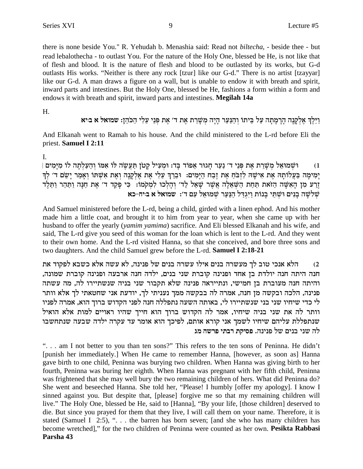there is none beside You." R. Yehudah b. Menashia said: Read not *biltecha*, - beside thee - but read lebalothecha - to outlast You. For the nature of the Holy One, blessed be He, is not like that of flesh and blood. It is the nature of flesh and blood to be outlasted by its works, but G-d outlasts His works. "Neither is there any rock [tzur] like our G-d." There is no artist [tzayyar] like our G-d. A man draws a figure on a wall, but is unable to endow it with breath and spirit, inward parts and intestines. But the Holy One, blessed be He, fashions a form within a form and endows it with breath and spirit, inward parts and intestines. Megilah 14a

H.

וַיֵּלֵךְ אֶלְקַנַה הַרַמְתָה עַל בֵּיתוֹ וְהַנַּעַר הַיַּה מְשַׁרֵת אֶת ד׳ אֶת פְּנֵי עֵלִי הַכֹּהֶן: שמואל א בּיִיא

And Elkanah went to Ramah to his house. And the child ministered to the L-rd before Eli the priest. Samuel I 2:11

 $\mathbf{I}$ .

וּשָׁמוּאֵל מְשָׁרֵת אֶת פְּנֵי ד׳ נַעַר חָגוּר אֵפוֹד בָּד: וּמִעִיל קַטֹן תַּעֲשֶׂה לּוֹ אִמּוֹ וְהַעַלְתַה לוֹ מִיַּמִים |  $(1)$ יַמִימַה בַּעֲלוֹתַה אֶת אִישָׁה לְזְבֹּחָ אֶת זֶבָח הַיַּמִים: וּבֵרַךְ עָלִי אֶת אֶלְקֵנָה וְאֶת אִשִּׁתוֹ וְאַמַר יַשֵּׂם ד׳ לְךָ וֵרַע מִן הָאִשָּׁה הַזֹּאת תַּחַת הַשָּׁאֲלָה אֲשֶׁר שַׁאֲל לַד׳ וְהָלְכוּ לִמְקֹמוֹ: ۚ כִּי פַקַד ד׳ אֶת חַנָּה וַתַּהַר וַתֵּלֵד שלשה בנים ושתי בנות ויגדל הנער שמואל עם ד׳: שמואל א ביח-כא

And Samuel ministered before the L-rd, being a child, girded with a linen ephod. And his mother made him a little coat, and brought it to him from year to year, when she came up with her husband to offer the yearly (*yamim yamima*) sacrifice. And Eli blessed Elkanah and his wife, and said, The L-rd give you seed of this woman for the loan which is lent to the L-rd. And they went to their own home. And the L-rd visited Hanna, so that she conceived, and bore three sons and two daughters. And the child Samuel grew before the L-rd. Samuel I 2:18-21

הלא אנכי טוב לך מעשרה בנים אילו עשרה בנים של פנינה, לא עשה אלא כשבא לפקוד את  $(2)$ חנה היתה חנה יולדת בן אחד ופנינה קוברת שני בנים, ילדה חנה ארבעה ופנינה קוברת שמונה, והיתה חנה מעוברת בן חמישי, ונתייראה פנינה שלא תקבור שני בניה שנשתיירו לה, מה עשתה פנינה, הלכה ובקשה מן חנה, אמרה לה בבקשה ממך נעניתי לך, יודעת אני שחטאתי לך אלא וותר לי כדי שיחיו שני בני שנשתיירו לי, באותה השעה נתפללה חנה לפני הקדוש ברוך הוא, אמרה לפניו וותר לה את שני בניה שיחיו, אמר לה הקדוש ברוך הוא חייך שהיו ראויים למות אלא הואיל שנתפללת עליהם שיחיו לשמך אני קורא אותם, לפיכך הוא אומר עד עקרה ילדה שבעה שנתחשבו לה שני בנים של פנינה. פסיקת רבתי פרשה מג

". . . am I not better to you than ten sons?" This refers to the ten sons of Peninna. He didn't [punish her immediately.] When He came to remember Hanna, [however, as soon as] Hanna gave birth to one child, Peninna was burying two children. When Hanna was giving birth to her fourth, Peninna was buring her eighth. When Hanna was pregnant with her fifth child, Peninna was frightened that she may well bury the two remaining children of hers. What did Peninna do? She went and beseeched Hanna. She told her, "Please! I humbly [offer my apology]. I know I sinned against you. But despite that, [please] forgive me so that my remaining children will live." The Holy One, blessed be He, said to [Hanna], "By your life, [those children] deserved to die. But since you prayed for them that they live, I will call them on your name. Therefore, it is stated (Samuel I  $2:5$ ), "... the barren has born seven; [and she who has many children has become wretched]," for the two children of Peninna were counted as her own. Pesikta Rabbasi Parsha 43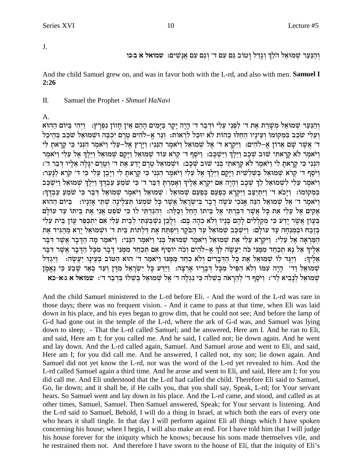J.

וְהַנַּעַר שִׁמוּאָל הֹלֶךְ וְגַדֶל וַטוֹב גַּם עָם ד׳ וְגַם עָם אֲנָשִׁים: שמואל א בּוּכו

And the child Samuel grew on, and was in favor both with the L-rd, and also with men. Samuel I  $2:26$ 

Π. Samuel the Prophet - Shmuel HaNavi

A.

וְהַנַּעַר שָׁמוּאֵל מִשָּׁרֵת אֵת ד׳ לְפִנֵי עֵלִי וּדִבַר ד׳ הָיָה יָקָר בַּיָּמִים הָהֵם אֵין חָזוֹן נִפְרָץ: וַיְהִי בַּיּוֹם הַהוּא ועלי שכב במקומו ועיניו החלו כהות לא יוכל לראות: ונר א-להים טרם יכבה ושמואל שכב בהיכל ד׳ אֲשֶׁר שֵׁם אֲרוֹן אֱ–לֹהִים: וַיִּקְרַא ד׳ אֵל שִׁמוּאֵל וַיֹּאמֵר הִנְּנִי: וַיַּרַץ אֵל–עֵלִי וַיֹּאמֵר הִנִּנִי כִּי קַרַאתַ לִּי וַיֹּאמֶר לֹא קְרָאתי שוּב שָׁכָב וַיַּלֶךְ וַיִּשְׁכָּב: וַיֹּסֵף ד׳ קְרֹא עוֹד שָׁמוּאֶל וַיַּקָם שָׁמוּאָל וַיַּלְךָ אֵל עֲלִי וַיֹּאמֵר הנני כי קראת לי ויאמר לא קראתי בני שוב שכב: ושמואל טרם ידע את ד׳ וטרם יגלה אליו דבר ד׳: ויסף ד׳ קרא שמואל בשלשית ויקם וילך אל עלי ויאמר הנני כי קראת לי ויבן עלי כי ד׳ קרא לנער: וַיֹּאמֶר עֵלִי לְשָׁמוּאֶל לֵךְ שָׁכָב וְהַיָּה אִם יִקְרָא אֶלֶיךְ וְאָמְרִתְּ דְּבֶר ד׳ כִּי שֹׁמֵעָ עַבְדֶךְ וַיֵּלֶךְ שָׁמוּאֶל וַיִּשְׁכָּב במקומו: וַיַּבֹא ד' וַיִּתְיַצֵּב וַיִּקְרָא כְפַעַם בְּפַעַם שָׁמוּאֵל | שַׁמוּאֵל וַיֹּאמֶר שַׁמוּאֵל דַּבֵּר כִּי שֹׁמְעַ עַבְדֶךְ: וַיֹּאמֶר ד' אֵל שִׁמוּאֵל הִנֵּה אַנכִי עֹשֶׂה דַבָר בְּיִשְׂרָאֵל אֲשֶׁר כָּל שֹׁמְעוֹ תִּצְלֵינָה שָׁתֵּי אַזְנַיו: - בַּיּוֹם הַהוּא אַקים אֵל עֵלִי אֶת כַּל אֲשֶׁר דְּבַרְתִּי אֵל בֵיתוֹ הָחֵל וְכַלֵּה: וְהִגַּדְתִּי לוֹ כִּי שֹׁפֵט אֲנִי אֶת בֵּיתוֹ עַד עוֹלַם בַּעֲוֹן אֲשֶׁר יַדַע כִּי מְקַלְלִים לַהֵם בַּנַיו וְלֹא כְהָה בָּם: וְלַבֶן נִשְׁבַּעְתִּי לְבֵית עֵלִי אִם יִתְכַפֵּר עֲוֹן בֵית עֵלִי בְּזֶבָה וּבְמִנְחָה עַד עוֹלַם: וַיִּשְׁכָּב שָׁמוּאֵל עַד הַבֹּקֵר וַיִּפְתַּח אֵת דַלְתוֹת בֵּית ד׳ וּשָׁמוּאֵל יַרֵא מֶהָגִּיד אֵת הַמַּרְאָה אֵל עֵלִי: וַיִּקְרָא עֵלִי אֶת שִׁמוּאֵל וַיֹּאמֵר שַׁמוּאָל בְּנִי וַיֹּאמֵר הַנֵּנִי: וַיֹּאמֵר מַה הַדָּבָר אֲשֶׁר דְּבֵר אֵלֵיךְ אֵל נַא תִכְחֵד מִמֶּנִי כֹּה יַעֲשֶה לִךְ אֵ–לֹהִים וְכֹה יוֹסִיף אִם תִּכְחֵד מִמֶּנִי דַבָר מִכַּל הַדָּבָר אֲשֶׁר דְּבֵר אֵלִיךְ: וַיַּגֵּד לוֹ שִׁמוּאֵל אֶת כַּל הַדְּבֵרִים וְלֹא כְחַד מִמְּנוּ וַיֹּאמַר ד׳ הוּא הַטּוֹב בִּעֵינַו יַעֲשֶה: וַיִּגְדָל שִׁמוּאֵל וַד׳ הָיָה עִמּוֹ וְלֹא הִפִּיל מִכָּל דְּבָרָיו אַרְצָה: וַיֵּדַע כָּל יִשְׂרָאֵל מִדָּן וְעַד בְּאֵר שָׁבַע כִּי נֵאֵמָן שמואל לַנָבִיא לַד': וַיֹּסֵף ד' לְהֵרָאה בִשׁלֹה כִּי נִגְלָה ד' אֶל שִׁמוּאֵל בְּשָׁלוֹ בִּדְבַר ד': שמואל א ג:א-כא

And the child Samuel ministered to the L-rd before Eli. - And the word of the L-rd was rare in those days; there was no frequent vision. - And it came to pass at that time, when Eli was laid down in his place, and his eyes began to grow dim, that he could not see; And before the lamp of G-d had gone out in the temple of the L-rd, where the ark of G-d was, and Samuel was lying down to sleep; - That the L-rd called Samuel; and he answered, Here am I. And he ran to Eli, and said, Here am I; for you called me. And he said, I called not; lie down again. And he went and lay down. And the L-rd called again, Samuel. And Samuel arose and went to Eli, and said, Here am I; for you did call me. And he answered, I called not, my son; lie down again. And Samuel did not yet know the L-rd, nor was the word of the L-rd yet revealed to him. And the L-rd called Samuel again a third time. And he arose and went to Eli, and said, Here am I; for you did call me. And Eli understood that the L-rd had called the child. Therefore Eli said to Samuel, Go, lie down; and it shall be, if He calls you, that you shall say, Speak, L-rd; for Your servant hears. So Samuel went and lay down in his place. And the L-rd came, and stood, and called as at other times, Samuel, Samuel. Then Samuel answered, Speak; for Your servant is listening. And the L-rd said to Samuel, Behold, I will do a thing in Israel, at which both the ears of every one who hears it shall tingle. In that day I will perform against Eli all things which I have spoken concerning his house; when I begin, I will also make an end. For I have told him that I will judge his house forever for the iniquity which he knows; because his sons made themselves vile, and he restrained them not. And therefore I have sworn to the house of Eli, that the iniquity of Eli's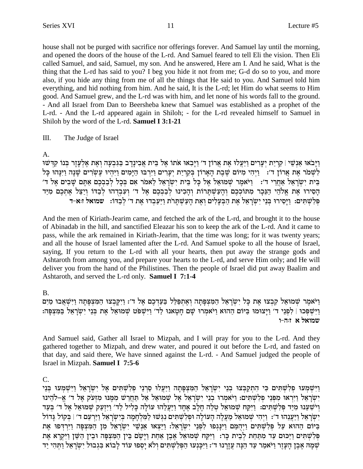house shall not be purged with sacrifice nor offerings forever. And Samuel lay until the morning, and opened the doors of the house of the L-rd. And Samuel feared to tell Eli the vision. Then Eli called Samuel, and said, Samuel, my son. And he answered, Here am I. And he said, What is the thing that the L-rd has said to you? I beg you hide it not from me; G-d do so to you, and more also, if you hide any thing from me of all the things that He said to you. And Samuel told him everything, and hid nothing from him. And he said, It is the L-rd; let Him do what seems to Him good. And Samuel grew, and the L-rd was with him, and let none of his words fall to the ground. - And all Israel from Dan to Beersheba knew that Samuel was established as a prophet of the L-rd. - And the L-rd appeared again in Shiloh; - for the L-rd revealed himself to Samuel in Shiloh by the word of the L-rd. Samuel I 3:1-21

Ш. The Judge of Israel

### $\mathbf{A}$ .

וַיַּבֹאוּ אַנְשֵׁי | קְרִיַת יִעֲרִים וַיַּעֲלוּ אֶת אֲרוֹן ד׳ וַיַּבְאוּ אֹתוֹ אֵל בֵּית אֲבִינַדֶב בַּגַּבְעָה וְאֶת אֶלְעָזֶר בְּנוֹ קִדָּשׁוּ לְשָׁמֹר אֶת אֲרוֹן ד': וַיָּהִי מִיּוֹם שֶׁבֶת הָאֲרוֹן בִּקְרִיַת יִעֲרִים וַיִּרְבּוּ הַיָּמִים וַיִּהְיוּ עֵשְׂרִים שַׁנָה וַיִּנָּהוּ כָּל בית ישראל אחרי ד׳: ניאמר שמואל אל כל בית ישראל לאמר אם בכל לבבכם אתם שבים אל ד׳ הָסִירוּ אֶת אֱלֹהֵי הַנֵּכָר מִתּוֹכִכֵם וְהָעַשְׁתָּרוֹת וְהָכִינוּ לְבַבְכֵם אֵל ד׳ וִעְבִדְהוּ לְבַדּו וְיַצֵּל אֵתְכֵם מִיַּד פלשתים: וַיַּסִירוּ בְּנֵי יִשְׂרָאֵל אֶת הַבִּעֲלִים וְאֶת הַעֲשָׁתַּרֹת וַיַּעֲבְדוּ אֶת ד׳ לְבְדוֹ: שמואל זּ:א-ד

And the men of Kiriath-Jearim came, and fetched the ark of the L-rd, and brought it to the house of Abinadab in the hill, and sanctified Eleazar his son to keep the ark of the L-rd. And it came to pass, while the ark remained in Kiriath-Jearim, that the time was long; for it was twenty years; and all the house of Israel lamented after the L-rd. And Samuel spoke to all the house of Israel, saving. If you return to the L-rd with all your hearts, then put away the strange gods and Ashtaroth from among you, and prepare your hearts to the L-rd, and serve Him only; and He will deliver you from the hand of the Philistines. Then the people of Israel did put away Baalim and Ashtaroth, and served the L-rd only. Samuel I 7:1-4

### $B<sub>1</sub>$

וַיֹּאמֶר שָׁמוּאָל קִבְצוּ אֶת כַּל יִשְׂרָאֵל הַמְצִפְּתָה וְאֶתְפַּלֶל בַּעֲדְכֶם אֶל ד׳: וַיִקְבְצוּ הַמִּצְפָּתָה וַיִּשְׁאֲבוּ מַיִם וַיִּשְׁפְּכוּ | לִפְנֵי ד' וַיָּצוּמוּ בִּיּוֹם הַהוּא וַיֹּאמְרוּ שָׁם חָטָאנוּ לַד' וַיִּשְׁפֹּט שְׁמוֹאֵל אֶת בְּנֵי יִשְׂרָאֵל בַּמִּצְפָּה: שמואל א זה-ו

And Samuel said, Gather all Israel to Mizpah, and I will pray for you to the L-rd. And they gathered together to Mizpah, and drew water, and poured it out before the L-rd, and fasted on that day, and said there, We have sinned against the L-rd. - And Samuel judged the people of Israel in Mizpah. Samuel I 7:5-6

### $C_{\cdot}$

וַיִּשְׁמְעוּ פִלְשָׁתִּים כִּי הַתַקְבְּצוּ בְנֵי יְשְׂרָאֵל הַמִּצְפָּתָה וַיַּעֲלוּ סָרְנֵי פְלְשָׁתִּים אֵל יִשְׂרָאֵל וַיִּשְׁמְעוּ בְּנֵי ישראל ויראו מפני פלשתים: ויאמרו בני ישראל אל שמואל אל תחרש ממנו מזעק אל ד' א-להינו וישענו מיד פלשתים: ויקח שמואל טלה חלב אחד ויעלהו עולה כליל לד׳ ויזעק שמואל אל ד׳ בעד ישראל ויענהו ד׳: ויהי שמואל מעלה העולה ופלשתים נגשו למלחמה בישראל וירעם ד׳ | בקול גדול .<br>בִּיּוֹם הַהוּא עַל פִּלְשַׁתִּים וַיִּהְמֵם וַיִּנַּגִפוּ לִפְנֵי יִשְׂרָאֵל: וַיֵּצְאוּ אַנִשִׁי יִשְׂרָאֵל מִן הַמִּצְפָּה וַיִּרְדִּפוּ אֶת פִּלְשָׁתִּים וַיַּכּוּם עַד מִתַּחַת לְבִית כָּר: וַיִּקַח שִׁמוּאֵל אָבֵן אַחַת וַיָּשֵׁם בֵּין הַמִּצְפָּה וּבִין הַשֵּׁן וַיִּקְרָא אֶת שְׁמָה אֶבֶן הָעָזֶר וַיֹּאמַר עַד הֵנָּה עֲזָרֲנוּ ד': וַיִּכָּנִעוּ הַפִּלְשָׁתִּים וְלֹא יָסִפוּ עוֹד לָבוֹא בִּגְבוּל יִשְׂרָאֵל וַתְּהִי יַד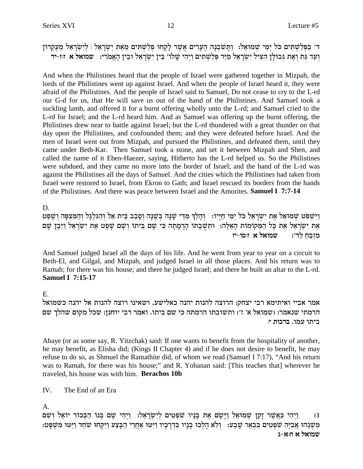## ד׳ בַּפִּלְשָׁתִּים כֹּל יִמֵי שָׁמוּאֶל: נַתַּשׂבִנָּה הֵעָרִים אֲשֶׁר לַקְחוּ פִלְשָׁתִּים מֵאֶת יִשְׂרַאֵל | לִיִשְׂרָאֵל מֵעֵקְרוֹן **וִעַר גַּת וְאֶת גִּבוּלַן הִצְיל יִשְׂרַאֵל מִיַּד פִּלְשָׁתִּים וַיִּהִי שַׁלוֹ׳ בֵּין יִשְׂרַאֵל וּבֵין הַאֲמֹרִי: שמואל א זוּ-יד**

And when the Philistines heard that the people of Israel were gathered together in Mizpah, the lords of the Philistines went up against Israel. And when the people of Israel heard it, they were afraid of the Philistines. And the people of Israel said to Samuel, Do not cease to cry to the L-rd our G-d for us, that He will save us out of the hand of the Philistines. And Samuel took a suckling lamb, and offered it for a burnt offering wholly unto the L-rd; and Samuel cried to the L-rd for Israel; and the L-rd heard him. And as Samuel was offering up the burnt offering, the Philistines drew near to battle against Israel; but the L-rd thundered with a great thunder on that day upon the Philistines, and confounded them; and they were defeated before Israel. And the men of Israel went out from Mizpah, and pursued the Philistines, and defeated them, until they came under Beth-Kar. Then Samuel took a stone, and set it between Mizpah and Shen, and called the name of it Eben-Haezer, saying, Hitherto has the L-rd helped us. So the Philistines were subdued, and they came no more into the border of Israel; and the hand of the L-rd was against the Philistines all the days of Samuel. And the cities which the Philistines had taken from Israel were restored to Israel, from Ekron to Gath; and Israel rescued its borders from the hands of the Philistines. And there was peace between Israel and the Amorites. **Samuel I 7:7-14**

D.

וַיִּשְׁפֹּט שָׁמוּאֵל אֶת יִשְׂרָאֵל כֹּל יִמֵי חַיַּיו: ) וְהַלְךְּ מְדֵּי שַׁנָּה בְּשָׁנָה וְסָבָב בֵּית אֵל וְהַגִּלְגַּל וְהַמְּצִפָּה וְשָׁפַט אֶת יִשְׂרָאֵל אֶת כַּל הַמִּקוֹמוֹת הַאֲלָה: וּתִשְׁבַתוֹ הַרַמֲתָה כִּי שֵׁם בֵּיתוֹ וְשֵׁם שַׁפַּט אֶת יִשְׂרָאֵל וַיִּבֵן שַׁם *k* מזבח לד׳: שמואל א

And Samuel judged Israel all the days of his life. And he went from year to year on a circuit to Beth-El, and Gilgal, and Mizpah, and judged Israel in all those places. And his return was to Ramah; for there was his house; and there he judged Israel; and there he built an altar to the L-rd. **Samuel I 7:15-17**

E.

אמר אביי ואיתימא רבי יצחק: הרוצה להנות יהנה כאלישע, ושאינו רוצה להנות אל יהנה כשמואל הרמתי שנאמר: (שמואל א׳ ז׳) ותשובתו הרמתה כי שם ביתו. ואמר רבי יוחנן: שכל מקום שהלך שם **ביתו עמו. ברכות י**:

Abaye (or as some say, R. Yitzchak) said: If one wants to benefit from the hospitality of another, he may benefit, as Elisha did; (Kings II Chapter 4) and if he does not desire to benefit, he may refuse to do so, as Shmuel the Ramathite did, of whom we read (Samuel I 7:17), "And his return was to Ramah, for there was his house;" and R. Yohanan said: [This teaches that] wherever he traveled, his house was with him. **Berachos 10b**

### IV. The End of an Era

A.

mW• eß l`• Fi xFkAß d© FpAß mW§ id¶ iße© :l`• x®oyß i¶lß mih¶ tß oW eip®A® z`§ moy§ I®e© l`• EnWß ow• f® xW§ `£M© id¶ iße© (1 :מִשֶּׁנֵהוּ אֲבִיָּה שׁפִטִים בִּבְאֵר שָׁבַע: [וְלֹא הָלְכוּ בְנָיו בִּדְרָכִיו וַיִּטּוּ אַחֲרֵי הַבְּצַע וַיִּקְחוּ שֹׁחַד וַיַּטוּ מִשְׁפָּט: **שמואל א ה:א-ג**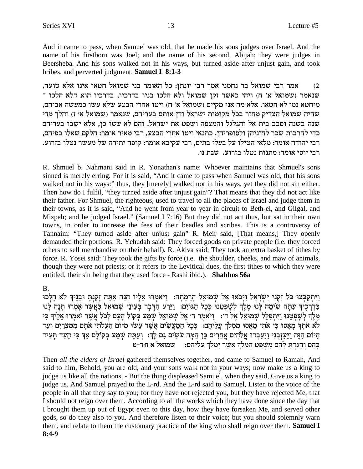And it came to pass, when Samuel was old, that he made his sons judges over Israel. And the name of his firstborn was Joel; and the name of his second, Abijah; they were judges in Beersheba. And his sons walked not in his ways, but turned aside after unjust gain, and took bribes, and perverted judgment. Samuel I 8:1-3

אמר רבי שמואל בר נחמני אמר רבי יונתן: כל האומר בני שמואל חטאו אינו אלא טועה,  $(2)$ שנאמר (שמואל א' ח) ויהי כאשר זקן שמואל ולא הלכו בניו בדרכיו, בדרכיו הוא דלא הלכו ־ מיחטא נמי לא חטאו. אלא מה אני מקיים (שמואל א׳ ח) ויטו אחרי הבצע שלא עשו כמעשה אביהם, שהיה שמואל הצדיק מחזר בכל מקומות ישראל ודן אותם בעריהם, שנאמר (שמואל א׳ ז) והלך מדי שנה בשנה וסבב בית אל והגלגל והמצפה ושפט את ישראל. והם לא עשו כן, אלא ישבו בעריהם כדי להרבות שכר לחזניהן ולסופריהן. כתנאי ויטו אחרי הבצע, רבי מאיר אומר: חלקם שאלו בפיהם, רבי יהודה אומר: מלאי הטילו על בעלי בתים, רבי עקיבא אומר: קופה יתירה של מעשר נטלו בזרוע. רבי יוסי אומר: מתנות נטלו בזרוע. שבת נו.

R. Shmuel b. Nahmani said in R. Yonathan's name: Whoever maintains that Shmuel's sons sinned is merely erring. For it is said, "And it came to pass when Samuel was old, that his sons walked not in his ways:" thus, they [merely] walked not in his ways, yet they did not sin either. Then how do I fulfil, "they turned aside after unjust gain"? That means that they did not act like their father. For Shmuel, the righteous, used to travel to all the places of Israel and judge them in their towns, as it is said, "And he went from year to year in circuit to Beth-el, and Gilgal, and Mizpah; and he judged Israel." (Samuel I 7:16) But they did not act thus, but sat in their own towns, in order to increase the fees of their beadles and scribes. This is a controversy of Tannaim: "They turned aside after unjust gain" R. Meir said, [That means,] They openly demanded their portions. R. Yehudah said: They forced goods on private people (i.e. they forced others to sell merchandise on their behalf). R. Akiva said: They took an extra basket of tithes by force. R. Yosei said: They took the gifts by force (i.e. the shoulder, cheeks, and maw of animals, though they were not priests; or it refers to the Levitical dues, the first tithes to which they were entitled, their sin being that they used force - Rashi ibid.). Shabbos 56a

### B.

וַיְּתַקַבְּצוּ כֹּל זְקְנֵי יְשָׂרָאֵל וַיַּבֹאוּ אֶל שָׁמוּאֵל הַרַמֲתַה: וַיֹּאמְרוּ אֲלֵיו הָנֵה אָתַּה זַקְנִתַּ וּבְנֵיךְ לֹא הַלְכוּ בְּדִרְכֵיךְ עַתֲה שִׂימַה לַנוּ מֵלֵךְ לְשָׁפְטָנוּ כְּכָל הַגּוֹיִם: וַיֵּרַע הַדָּבָר בְּעֵינֵי שָׁמוּאָל כָּאֲשֶׁר אַמְרוּ תִּנָה לַנוּ מֵלֵךְ לְשַׁפְטֵנוּ וַיְּתִפְּלֵל שָׁמוּאֵל אֵל ד׳: וַיֹּאמֵר ד׳ אֵל שַׁמוּאַל שַׁמֵע בְקוֹל הַעֲם לְכֹל אֲשֶׁר יֹאמִרוּ אָלִיךְ כִּי לא אתך מאסו כי אתי מאסו ממלך עליהם: ככל המעשים אשר עשו מיום העלתי אתם ממצרים ועד הַיּוֹם הַזֶּה וַיַּעֲזְבְנִי וַיַּעֲבְדוּ אֱלֹהִים אֲחֶרִים כֵּן הֵמָּה עֹשִׂים גַּם לַךְ: וְעַתָּה שִׁמַע בְקוֹלַם אַךְ כִּי הַעֵּד תַּעִיד בהם והגדת להם משפט המלך אשר ימלך עליהם: עשמואל א חד-ט

Then all the elders of Israel gathered themselves together, and came to Samuel to Ramah, And said to him, Behold, you are old, and your sons walk not in your ways; now make us a king to judge us like all the nations. - But the thing displeased Samuel, when they said, Give us a king to judge us. And Samuel prayed to the L-rd. And the L-rd said to Samuel, Listen to the voice of the people in all that they say to you; for they have not rejected you, but they have rejected Me, that I should not reign over them. According to all the works which they have done since the day that I brought them up out of Egypt even to this day, how they have forsaken Me, and served other gods, so do they also to you. And therefore listen to their voice; but you should solemnly warn them, and relate to them the customary practice of the king who shall reign over them. Samuel I  $8:4-9$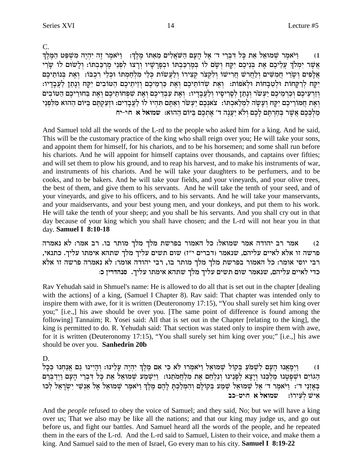$\mathbf{C}$ .

ויֹאמר שמוּאַל אַת כַּל דִּבְרֵי ד׳ אֵל הַעַם הַשֹּׁאֲלִים מֵאָתּוֹ מֵלֵךְ: - וַיֹּאמֶר זֶה יִהְיֶה מְשִׁפַּט הַמֵּלֵךְ  $(1)$ אֲשֶׁר יִמְלֹךְ עֲלֵיכֶם אֶת בְּנֵיכֶם יִקָּח וְשָׂם לוֹ בְמֶרְכַּבְתוֹ וּבְפַרָשִׁיו וְרַצוּ לְפְנֵי מֶרְכַבְתּוֹ: וְלַשׁוּם לוֹ שָׂרֵי אֵלָפִים וְשָׂרֵי חֲמִשִּׁים וְלַחֲרֹשׁ חֲרִישׁוֹ וְלִקְצֹר קִצְירוֹ וְלַעֲשׂוֹת כְּלֵי מְלְחַמְתּוֹ וּכְלֵי רְכְבּוֹ: וְאֶת בְּנוֹתֵיכֶם יִקָּח לְרַקְחוֹת וּלְטַבְחוֹת וּלְאפוֹת: וְאֶת שְׁדוֹתֵיכֶם וְאֶת כַּרְמֵיכֶם וְזֵיתֵיכֶם הַטּוֹבִים יִקְח וְנָתַן לַעֲבָדָיו: וְזַרְעֵיכֵם וְכַרְמֵיכֵם יַעִשׂר וְנָתַן לְסָרִיסָיו וְלַעֲבָדָיו: וְאֵת עַבְדֵיכֵם וְאֵת שִׁפְחוֹתֵיכֵם וְאֵת בַּחוּרֵיכֵם הַטּוֹבִים וְאֵת חֲמוֹרֵיכֶם יִקָּח וְעַשָּׁה לְמִלַאכְתוֹ: צֹאוָכֶם יַעְשֹׂר וְאַתֵּם תְּהִיוּ לוֹ לַעֲבָדִים: וּזְעַקְתֵּם בַּיּוֹם הַהוּא מִלְפְנֵי מַלְכָּכֶם אֲשֶׁר בְּחָרְתֵּם לָכֶם וְלֹא יַעֲנֶה ד׳ אֶתְכֶם בַּיּוֹם הַהוּא: שמואל א חּיִ־יח

And Samuel told all the words of the L-rd to the people who asked him for a king. And he said, This will be the customary practice of the king who shall reign over you; He will take your sons, and appoint them for himself, for his chariots, and to be his horsemen; and some shall run before his chariots. And he will appoint for himself captains over thousands, and captains over fifties; and will set them to plow his ground, and to reap his harvest, and to make his instruments of war, and instruments of his chariots. And he will take your daughters to be perfumers, and to be cooks, and to be bakers. And he will take your fields, and your vineyards, and your olive trees, the best of them, and give them to his servants. And he will take the tenth of your seed, and of your vineyards, and give to his officers, and to his servants. And he will take your manservants, and your maidservants, and your best young men, and your donkeys, and put them to his work. He will take the tenth of your sheep; and you shall be his servants. And you shall cry out in that day because of your king which you shall have chosen; and the L-rd will not hear you in that day. Samuel I 8:10-18

אמר רב יהודה אמר שמואל: כל האמור בפרשת מלך מלך מותר בו. רב אמר: לא נאמרה  $(2)$ פרשה זו אלא לאיים עליהם, שנאמר (דברים י"ז) שום תשים עליך מלך שתהא אימתו עליך. כתנאי, רבי יוסי אומר: כל האמור בפרשת מלך מלך מותר בו, רבי יהודה אומר: לא נאמרה פרשה זו אלא כדי לאיים עליהם, שנאמר שום תשים עליך מלך שתהא אימתו עליך. סנהדרין כ:

Rav Yehudah said in Shmuel's name: He is allowed to do all that is set out in the chapter [dealing] with the actions] of a king, (Samuel I Chapter 8). Rav said: That chapter was intended only to inspire them with awe, for it is written (Deuteronomy 17:15), "You shall surely set him king over you;" [i.e.,] his awe should be over you. [The same point of difference is found among the following] Tannaim; R. Yosei said: All that is set out in the Chapter [relating to the king], the king is permitted to do. R. Yehudah said: That section was stated only to inspire them with awe, for it is written (Deuteronomy 17:15), "You shall surely set him king over you;" [i.e.,] his awe should be over you. Sanhedrin 20b

D.

וַיִּמְאֲנוּ הָעָם לְשָׁמֹעַ בִּקוֹל שָׁמוּאֵל וַיֹּאמְרוּ לֹא כִּי אִם מֵלֵךְ יִהְיֵה עָלֵינוּ: וְהָיִינוּ גַם אֲנַחִנוּ כִּכָל  $(1)$ הגוים וּשְׁפְטָנוּ מַלְבֵּנוּ וְיָצָא לְפָנֵינוּ וְנִלְחַם אֶת מִלְחֲמֹתֵנוּ: וַיִּשְׁמֹע שְׁמוּאֵל אֵת כָּל דִּבְרֵי הָעָם וַיִּדַבְּרֵם בְאָזְנֵי ד׳: וַיֹּאמֶר ד׳ אֶל שְׁמוּאֵל שְׁמַע בְקוֹלָם וְהִמְלַכְתָּ לָהֶם מֶלֶךְ וַיֹּאמֶר שְׁמוּאֵל אֶל אַנְשֵׁי יִשְׂרָאֵל לְכוּ איש לעירו: שמואל א חיט-כב

And the *people* refused to obey the voice of Samuel; and they said, No; but we will have a king over us; That we also may be like all the nations; and that our king may judge us, and go out before us, and fight our battles. And Samuel heard all the words of the people, and he repeated them in the ears of the L-rd. And the L-rd said to Samuel, Listen to their voice, and make them a king. And Samuel said to the men of Israel, Go every man to his city. **Samuel I 8:19-22**